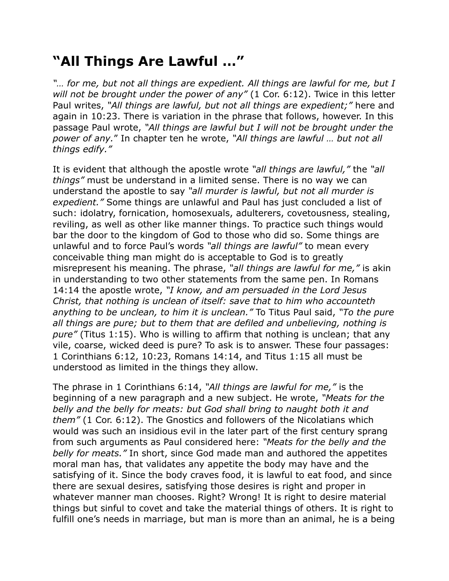## **"All Things Are Lawful …"**

*"… for me, but not all things are expedient. All things are lawful for me, but I will not be brought under the power of any"* (1 Cor. 6:12). Twice in this letter Paul writes, *"All things are lawful, but not all things are expedient;"* here and again in 10:23. There is variation in the phrase that follows, however. In this passage Paul wrote, *"All things are lawful but I will not be brought under the power of any.*" In chapter ten he wrote, *"All things are lawful … but not all things edify."*

It is evident that although the apostle wrote *"all things are lawful,"* the *"all things"* must be understand in a limited sense. There is no way we can understand the apostle to say *"all murder is lawful, but not all murder is expedient."* Some things are unlawful and Paul has just concluded a list of such: idolatry, fornication, homosexuals, adulterers, covetousness, stealing, reviling, as well as other like manner things. To practice such things would bar the door to the kingdom of God to those who did so. Some things are unlawful and to force Paul's words *"all things are lawful"* to mean every conceivable thing man might do is acceptable to God is to greatly misrepresent his meaning. The phrase, *"all things are lawful for me,"* is akin in understanding to two other statements from the same pen. In Romans 14:14 the apostle wrote, *"I know, and am persuaded in the Lord Jesus Christ, that nothing is unclean of itself: save that to him who accounteth anything to be unclean, to him it is unclean."* To Titus Paul said, *"To the pure all things are pure; but to them that are defiled and unbelieving, nothing is pure"* (Titus 1:15). Who is willing to affirm that nothing is unclean; that any vile, coarse, wicked deed is pure? To ask is to answer. These four passages: 1 Corinthians 6:12, 10:23, Romans 14:14, and Titus 1:15 all must be understood as limited in the things they allow.

The phrase in 1 Corinthians 6:14, *"All things are lawful for me,"* is the beginning of a new paragraph and a new subject. He wrote, *"Meats for the belly and the belly for meats: but God shall bring to naught both it and them"* (1 Cor. 6:12). The Gnostics and followers of the Nicolatians which would was such an insidious evil in the later part of the first century sprang from such arguments as Paul considered here: *"Meats for the belly and the belly for meats."* In short, since God made man and authored the appetites moral man has, that validates any appetite the body may have and the satisfying of it. Since the body craves food, it is lawful to eat food, and since there are sexual desires, satisfying those desires is right and proper in whatever manner man chooses. Right? Wrong! It is right to desire material things but sinful to covet and take the material things of others. It is right to fulfill one's needs in marriage, but man is more than an animal, he is a being